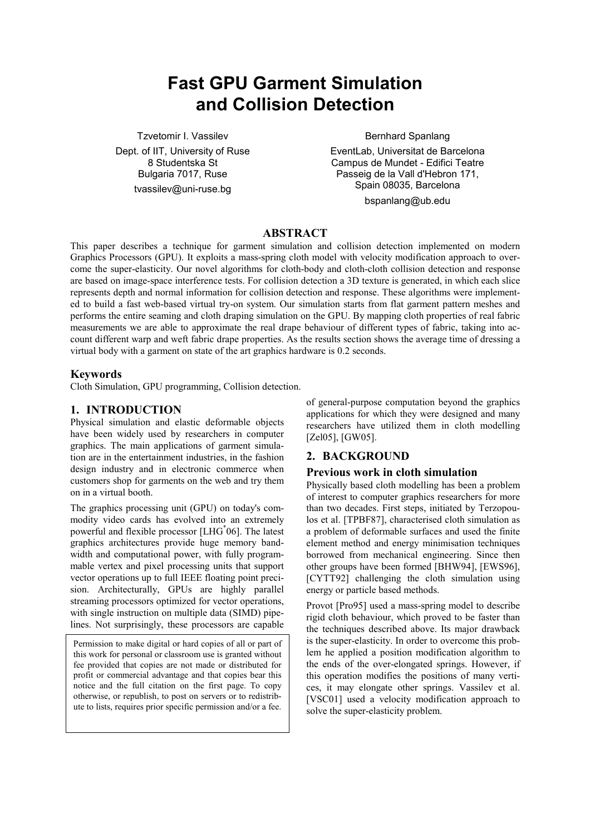# **Fast GPU Garment Simulation and Collision Detection**

Tzvetomir I. Vassilev Dept. of IIT, University of Ruse 8 Studentska St Bulgaria 7017, Ruse tvassilev@uni-ruse.bg

Bernhard Spanlang

EventLab, Universitat de Barcelona Campus de Mundet - Edifici Teatre Passeig de la Vall d'Hebron 171, Spain 08035, Barcelona bspanlang@ub.edu

# **ABSTRACT**

This paper describes a technique for garment simulation and collision detection implemented on modern Graphics Processors (GPU). It exploits a mass-spring cloth model with velocity modification approach to overcome the super-elasticity. Our novel algorithms for cloth-body and cloth-cloth collision detection and response are based on image-space interference tests. For collision detection a 3D texture is generated, in which each slice represents depth and normal information for collision detection and response. These algorithms were implemented to build a fast web-based virtual try-on system. Our simulation starts from flat garment pattern meshes and performs the entire seaming and cloth draping simulation on the GPU. By mapping cloth properties of real fabric measurements we are able to approximate the real drape behaviour of different types of fabric, taking into account different warp and weft fabric drape properties. As the results section shows the average time of dressing a virtual body with a garment on state of the art graphics hardware is 0.2 seconds.

# **Keywords**

Cloth Simulation, GPU programming, Collision detection.

# **1. INTRODUCTION**

Physical simulation and elastic deformable objects have been widely used by researchers in computer graphics. The main applications of garment simulation are in the entertainment industries, in the fashion design industry and in electronic commerce when customers shop for garments on the web and try them on in a virtual booth.

The graphics processing unit (GPU) on today's commodity video cards has evolved into an extremely powerful and flexible processor [LHG\* 06]. The latest graphics architectures provide huge memory bandwidth and computational power, with fully programmable vertex and pixel processing units that support vector operations up to full IEEE floating point precision. Architecturally, GPUs are highly parallel streaming processors optimized for vector operations, with single instruction on multiple data (SIMD) pipelines. Not surprisingly, these processors are capable

Permission to make digital or hard copies of all or part of this work for personal or classroom use is granted without fee provided that copies are not made or distributed for profit or commercial advantage and that copies bear this notice and the full citation on the first page. To copy otherwise, or republish, to post on servers or to redistribute to lists, requires prior specific permission and/or a fee.

of general-purpose computation beyond the graphics applications for which they were designed and many researchers have utilized them in cloth modelling [Zel05], [GW05].

# **2. BACKGROUND**

# **Previous work in cloth simulation**

Physically based cloth modelling has been a problem of interest to computer graphics researchers for more than two decades. First steps, initiated by Terzopoulos et al. [TPBF87], characterised cloth simulation as a problem of deformable surfaces and used the finite element method and energy minimisation techniques borrowed from mechanical engineering. Since then other groups have been formed [BHW94], [EWS96], [CYTT92] challenging the cloth simulation using energy or particle based methods.

Provot [Pro95] used a mass-spring model to describe rigid cloth behaviour, which proved to be faster than the techniques described above. Its major drawback is the super-elasticity. In order to overcome this problem he applied a position modification algorithm to the ends of the over-elongated springs. However, if this operation modifies the positions of many vertices, it may elongate other springs. Vassilev et al. [VSC01] used a velocity modification approach to solve the super-elasticity problem.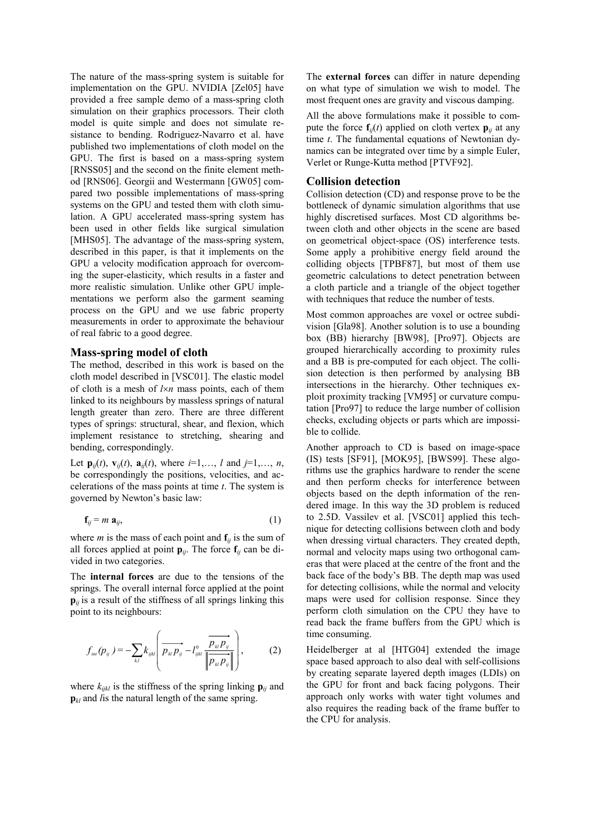The nature of the mass-spring system is suitable for implementation on the GPU. NVIDIA [Zel05] have provided a free sample demo of a mass-spring cloth simulation on their graphics processors. Their cloth model is quite simple and does not simulate resistance to bending. Rodriguez-Navarro et al. have published two implementations of cloth model on the GPU. The first is based on a mass-spring system [RNSS05] and the second on the finite element method [RNS06]. Georgii and Westermann [GW05] compared two possible implementations of mass-spring systems on the GPU and tested them with cloth simulation. A GPU accelerated mass-spring system has been used in other fields like surgical simulation [MHS05]. The advantage of the mass-spring system, described in this paper, is that it implements on the GPU a velocity modification approach for overcoming the super-elasticity, which results in a faster and more realistic simulation. Unlike other GPU implementations we perform also the garment seaming process on the GPU and we use fabric property measurements in order to approximate the behaviour of real fabric to a good degree.

### **Mass-spring model of cloth**

The method, described in this work is based on the cloth model described in [VSC01]. The elastic model of cloth is a mesh of *l*×*n* mass points, each of them linked to its neighbours by massless springs of natural length greater than zero. There are three different types of springs: structural, shear, and flexion, which implement resistance to stretching, shearing and bending, correspondingly.

Let  $\mathbf{p}_{ij}(t)$ ,  $\mathbf{v}_{ij}(t)$ ,  $\mathbf{a}_{ij}(t)$ , where  $i=1,\ldots, l$  and  $j=1,\ldots, n$ , be correspondingly the positions, velocities, and accelerations of the mass points at time *t*. The system is governed by Newton's basic law:

$$
\mathbf{f}_{ij} = m \; \mathbf{a}_{ij},\tag{1}
$$

where *m* is the mass of each point and  $f_{ij}$  is the sum of all forces applied at point  $\mathbf{p}_{ij}$ . The force  $\mathbf{f}_{ij}$  can be divided in two categories.

The **internal forces** are due to the tensions of the springs. The overall internal force applied at the point  $\mathbf{p}_{ij}$  is a result of the stiffness of all springs linking this point to its neighbours:

$$
f_{_{int}}(p_{ij}) = -\sum_{_{kl}} k_{_{ijkl}} \left( \overrightarrow{p_{_{kl}p_{_{ij}}}} - l_{_{ijkl}}^0 \frac{\overrightarrow{p_{_{kl}p_{_{ij}}}}}{\left\| \overrightarrow{p_{_{kl}p_{_{ij}}}} \right\|} \right),
$$
 (2)

where  $k_{ijkl}$  is the stiffness of the spring linking  $\mathbf{p}_{ij}$  and **p**<sub>*kl*</sub> and *l* is the natural length of the same spring.

The **external forces** can differ in nature depending on what type of simulation we wish to model. The most frequent ones are gravity and viscous damping.

All the above formulations make it possible to compute the force  $f_{ij}(t)$  applied on cloth vertex  $\mathbf{p}_{ij}$  at any time *t*. The fundamental equations of Newtonian dynamics can be integrated over time by a simple Euler, Verlet or Runge-Kutta method [PTVF92].

### **Collision detection**

Collision detection (CD) and response prove to be the bottleneck of dynamic simulation algorithms that use highly discretised surfaces. Most CD algorithms between cloth and other objects in the scene are based on geometrical object-space (OS) interference tests. Some apply a prohibitive energy field around the colliding objects [TPBF87], but most of them use geometric calculations to detect penetration between a cloth particle and a triangle of the object together with techniques that reduce the number of tests.

Most common approaches are voxel or octree subdivision [Gla98]. Another solution is to use a bounding box (BB) hierarchy [BW98], [Pro97]. Objects are grouped hierarchically according to proximity rules and a BB is pre-computed for each object. The collision detection is then performed by analysing BB intersections in the hierarchy. Other techniques exploit proximity tracking [VM95] or curvature computation [Pro97] to reduce the large number of collision checks, excluding objects or parts which are impossible to collide.

Another approach to CD is based on image-space (IS) tests [SF91], [MOK95], [BWS99]. These algorithms use the graphics hardware to render the scene and then perform checks for interference between objects based on the depth information of the rendered image. In this way the 3D problem is reduced to 2.5D. Vassilev et al. [VSC01] applied this technique for detecting collisions between cloth and body when dressing virtual characters. They created depth, normal and velocity maps using two orthogonal cameras that were placed at the centre of the front and the back face of the body's BB. The depth map was used for detecting collisions, while the normal and velocity maps were used for collision response. Since they perform cloth simulation on the CPU they have to read back the frame buffers from the GPU which is time consuming.

Heidelberger at al [HTG04] extended the image space based approach to also deal with self-collisions by creating separate layered depth images (LDIs) on the GPU for front and back facing polygons. Their approach only works with water tight volumes and also requires the reading back of the frame buffer to the CPU for analysis.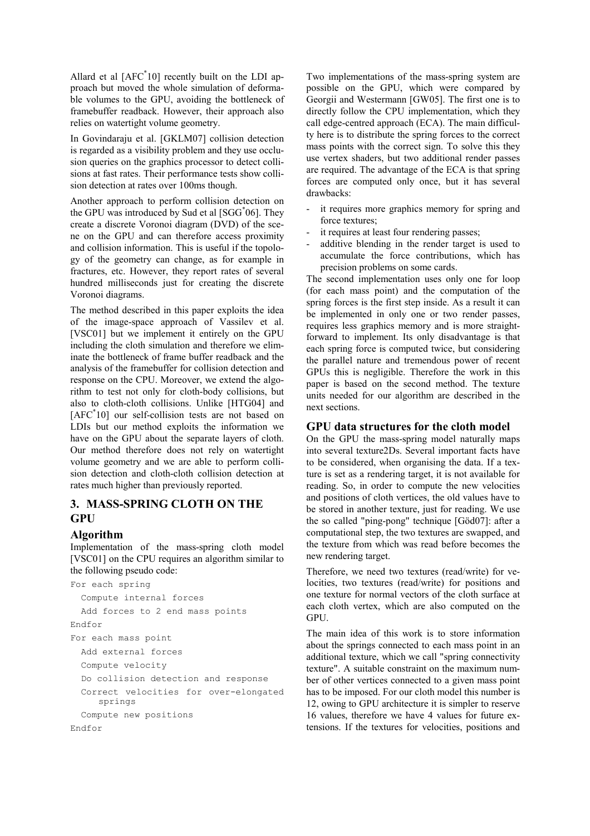Allard et al [AFC\* 10] recently built on the LDI approach but moved the whole simulation of deformable volumes to the GPU, avoiding the bottleneck of framebuffer readback. However, their approach also relies on watertight volume geometry.

In Govindaraju et al. [GKLM07] collision detection is regarded as a visibility problem and they use occlusion queries on the graphics processor to detect collisions at fast rates. Their performance tests show collision detection at rates over 100ms though.

Another approach to perform collision detection on the GPU was introduced by Sud et al [SGG\* 06]. They create a discrete Voronoi diagram (DVD) of the scene on the GPU and can therefore access proximity and collision information. This is useful if the topology of the geometry can change, as for example in fractures, etc. However, they report rates of several hundred milliseconds just for creating the discrete Voronoi diagrams.

The method described in this paper exploits the idea of the image-space approach of Vassilev et al. [VSC01] but we implement it entirely on the GPU including the cloth simulation and therefore we eliminate the bottleneck of frame buffer readback and the analysis of the framebuffer for collision detection and response on the CPU. Moreover, we extend the algorithm to test not only for cloth-body collisions, but also to cloth-cloth collisions. Unlike [HTG04] and [AFC\* 10] our self-collision tests are not based on LDIs but our method exploits the information we have on the GPU about the separate layers of cloth. Our method therefore does not rely on watertight volume geometry and we are able to perform collision detection and cloth-cloth collision detection at rates much higher than previously reported.

# **3. MASS-SPRING CLOTH ON THE GPU**

### **Algorithm**

Implementation of the mass-spring cloth model [VSC01] on the CPU requires an algorithm similar to the following pseudo code:

```
For each spring 
   Compute internal forces 
   Add forces to 2 end mass points 
Endfor 
For each mass point 
   Add external forces 
   Compute velocity 
   Do collision detection and response 
   Correct velocities for over-elongated 
     springs 
   Compute new positions 
Endfor
```
Two implementations of the mass-spring system are possible on the GPU, which were compared by Georgii and Westermann [GW05]. The first one is to directly follow the CPU implementation, which they call edge-centred approach (ECA). The main difficulty here is to distribute the spring forces to the correct mass points with the correct sign. To solve this they use vertex shaders, but two additional render passes are required. The advantage of the ECA is that spring forces are computed only once, but it has several drawbacks:

- it requires more graphics memory for spring and force textures;
- it requires at least four rendering passes;
- additive blending in the render target is used to accumulate the force contributions, which has precision problems on some cards.

The second implementation uses only one for loop (for each mass point) and the computation of the spring forces is the first step inside. As a result it can be implemented in only one or two render passes, requires less graphics memory and is more straightforward to implement. Its only disadvantage is that each spring force is computed twice, but considering the parallel nature and tremendous power of recent GPUs this is negligible. Therefore the work in this paper is based on the second method. The texture units needed for our algorithm are described in the next sections.

# **GPU data structures for the cloth model**

On the GPU the mass-spring model naturally maps into several texture2Ds. Several important facts have to be considered, when organising the data. If a texture is set as a rendering target, it is not available for reading. So, in order to compute the new velocities and positions of cloth vertices, the old values have to be stored in another texture, just for reading. We use the so called "ping-pong" technique [Göd07]: after a computational step, the two textures are swapped, and the texture from which was read before becomes the new rendering target.

Therefore, we need two textures (read/write) for velocities, two textures (read/write) for positions and one texture for normal vectors of the cloth surface at each cloth vertex, which are also computed on the **GPU** 

The main idea of this work is to store information about the springs connected to each mass point in an additional texture, which we call "spring connectivity texture". A suitable constraint on the maximum number of other vertices connected to a given mass point has to be imposed. For our cloth model this number is 12, owing to GPU architecture it is simpler to reserve 16 values, therefore we have 4 values for future extensions. If the textures for velocities, positions and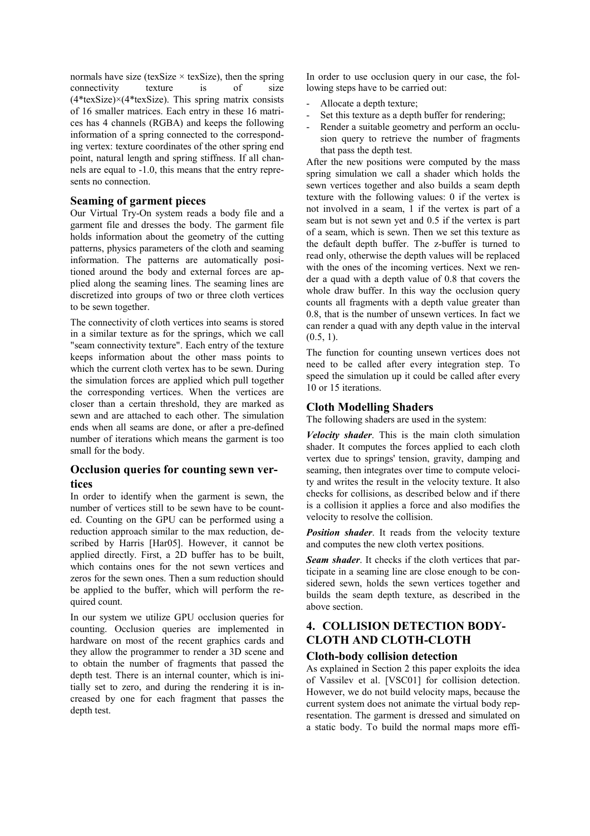normals have size (texSize  $\times$  texSize), then the spring connectivity texture is of size  $(4*textSize) \times (4*textSize)$ . This spring matrix consists of 16 smaller matrices. Each entry in these 16 matrices has 4 channels (RGBA) and keeps the following information of a spring connected to the corresponding vertex: texture coordinates of the other spring end point, natural length and spring stiffness. If all channels are equal to -1.0, this means that the entry represents no connection.

### **Seaming of garment pieces**

Our Virtual Try-On system reads a body file and a garment file and dresses the body. The garment file holds information about the geometry of the cutting patterns, physics parameters of the cloth and seaming information. The patterns are automatically positioned around the body and external forces are applied along the seaming lines. The seaming lines are discretized into groups of two or three cloth vertices to be sewn together.

The connectivity of cloth vertices into seams is stored in a similar texture as for the springs, which we call "seam connectivity texture". Each entry of the texture keeps information about the other mass points to which the current cloth vertex has to be sewn. During the simulation forces are applied which pull together the corresponding vertices. When the vertices are closer than a certain threshold, they are marked as sewn and are attached to each other. The simulation ends when all seams are done, or after a pre-defined number of iterations which means the garment is too small for the body.

# **Occlusion queries for counting sewn vertices**

In order to identify when the garment is sewn, the number of vertices still to be sewn have to be counted. Counting on the GPU can be performed using a reduction approach similar to the max reduction, described by Harris [Har05]. However, it cannot be applied directly. First, a 2D buffer has to be built, which contains ones for the not sewn vertices and zeros for the sewn ones. Then a sum reduction should be applied to the buffer, which will perform the required count.

In our system we utilize GPU occlusion queries for counting. Occlusion queries are implemented in hardware on most of the recent graphics cards and they allow the programmer to render a 3D scene and to obtain the number of fragments that passed the depth test. There is an internal counter, which is initially set to zero, and during the rendering it is increased by one for each fragment that passes the depth test.

In order to use occlusion query in our case, the following steps have to be carried out:

- Allocate a depth texture;
- Set this texture as a depth buffer for rendering:
- Render a suitable geometry and perform an occlusion query to retrieve the number of fragments that pass the depth test.

After the new positions were computed by the mass spring simulation we call a shader which holds the sewn vertices together and also builds a seam depth texture with the following values: 0 if the vertex is not involved in a seam, 1 if the vertex is part of a seam but is not sewn yet and 0.5 if the vertex is part of a seam, which is sewn. Then we set this texture as the default depth buffer. The z-buffer is turned to read only, otherwise the depth values will be replaced with the ones of the incoming vertices. Next we render a quad with a depth value of 0.8 that covers the whole draw buffer. In this way the occlusion query counts all fragments with a depth value greater than 0.8, that is the number of unsewn vertices. In fact we can render a quad with any depth value in the interval  $(0.5, 1)$ .

The function for counting unsewn vertices does not need to be called after every integration step. To speed the simulation up it could be called after every 10 or 15 iterations.

# **Cloth Modelling Shaders**

The following shaders are used in the system:

*Velocity shader*. This is the main cloth simulation shader. It computes the forces applied to each cloth vertex due to springs' tension, gravity, damping and seaming, then integrates over time to compute velocity and writes the result in the velocity texture. It also checks for collisions, as described below and if there is a collision it applies a force and also modifies the velocity to resolve the collision.

*Position shader*. It reads from the velocity texture and computes the new cloth vertex positions.

*Seam shader*. It checks if the cloth vertices that participate in a seaming line are close enough to be considered sewn, holds the sewn vertices together and builds the seam depth texture, as described in the above section.

# **4. COLLISION DETECTION BODY-CLOTH AND CLOTH-CLOTH**

# **Cloth-body collision detection**

As explained in Section 2 this paper exploits the idea of Vassilev et al. [VSC01] for collision detection. However, we do not build velocity maps, because the current system does not animate the virtual body representation. The garment is dressed and simulated on a static body. To build the normal maps more effi-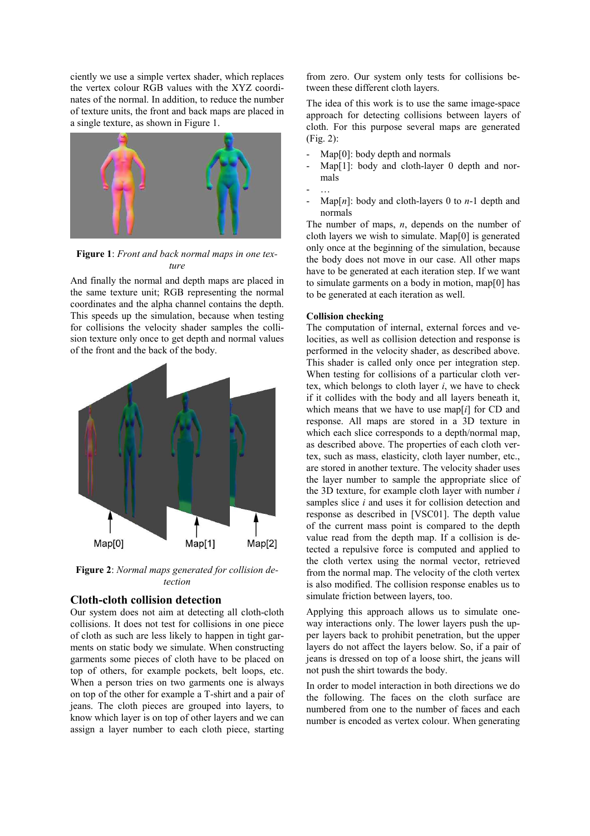ciently we use a simple vertex shader, which replaces the vertex colour RGB values with the XYZ coordinates of the normal. In addition, to reduce the number of texture units, the front and back maps are placed in a single texture, as shown in Figure 1.



**Figure 1**: *Front and back normal maps in one texture*

And finally the normal and depth maps are placed in the same texture unit; RGB representing the normal coordinates and the alpha channel contains the depth. This speeds up the simulation, because when testing for collisions the velocity shader samples the collision texture only once to get depth and normal values of the front and the back of the body.



**Figure 2**: *Normal maps generated for collision detection*

# **Cloth-cloth collision detection**

Our system does not aim at detecting all cloth-cloth collisions. It does not test for collisions in one piece of cloth as such are less likely to happen in tight garments on static body we simulate. When constructing garments some pieces of cloth have to be placed on top of others, for example pockets, belt loops, etc. When a person tries on two garments one is always on top of the other for example a T-shirt and a pair of jeans. The cloth pieces are grouped into layers, to know which layer is on top of other layers and we can assign a layer number to each cloth piece, starting from zero. Our system only tests for collisions between these different cloth layers.

The idea of this work is to use the same image-space approach for detecting collisions between layers of cloth. For this purpose several maps are generated (Fig. 2):

- $Map[0]$ : body depth and normals
- Map[1]: body and cloth-layer 0 depth and normals
- …
- $Map[n]$ : body and cloth-layers 0 to *n*-1 depth and normals

The number of maps, *n*, depends on the number of cloth layers we wish to simulate. Map[0] is generated only once at the beginning of the simulation, because the body does not move in our case. All other maps have to be generated at each iteration step. If we want to simulate garments on a body in motion, map[0] has to be generated at each iteration as well.

### **Collision checking**

The computation of internal, external forces and velocities, as well as collision detection and response is performed in the velocity shader, as described above. This shader is called only once per integration step. When testing for collisions of a particular cloth vertex, which belongs to cloth layer *i*, we have to check if it collides with the body and all layers beneath it, which means that we have to use map[*i*] for CD and response. All maps are stored in a 3D texture in which each slice corresponds to a depth/normal map, as described above. The properties of each cloth vertex, such as mass, elasticity, cloth layer number, etc., are stored in another texture. The velocity shader uses the layer number to sample the appropriate slice of the 3D texture, for example cloth layer with number *i* samples slice *i* and uses it for collision detection and response as described in [VSC01]. The depth value of the current mass point is compared to the depth value read from the depth map. If a collision is detected a repulsive force is computed and applied to the cloth vertex using the normal vector, retrieved from the normal map. The velocity of the cloth vertex is also modified. The collision response enables us to simulate friction between layers, too.

Applying this approach allows us to simulate oneway interactions only. The lower layers push the upper layers back to prohibit penetration, but the upper layers do not affect the layers below. So, if a pair of jeans is dressed on top of a loose shirt, the jeans will not push the shirt towards the body.

In order to model interaction in both directions we do the following. The faces on the cloth surface are numbered from one to the number of faces and each number is encoded as vertex colour. When generating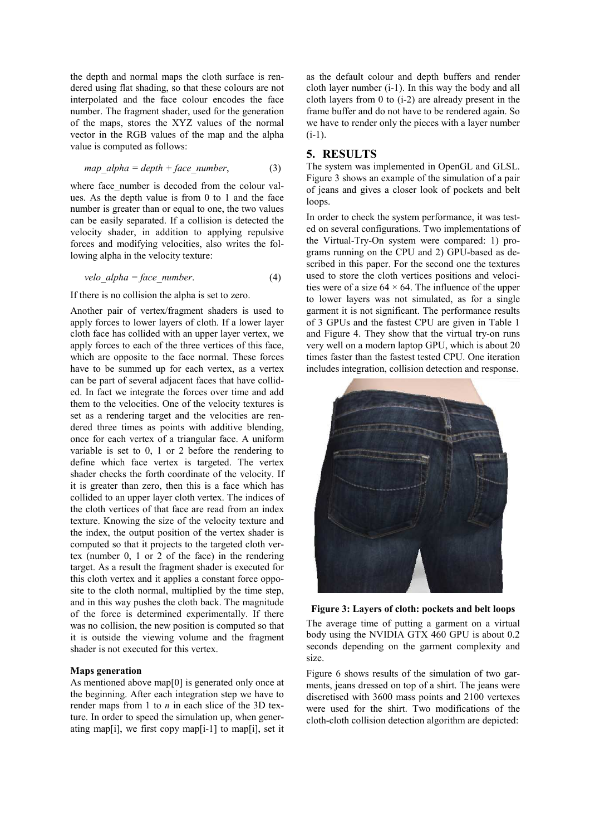the depth and normal maps the cloth surface is rendered using flat shading, so that these colours are not interpolated and the face colour encodes the face number. The fragment shader, used for the generation of the maps, stores the XYZ values of the normal vector in the RGB values of the map and the alpha value is computed as follows:

$$
map\_alpha = depth + face\_number,
$$
 (3)

where face number is decoded from the colour values. As the depth value is from 0 to 1 and the face number is greater than or equal to one, the two values can be easily separated. If a collision is detected the velocity shader, in addition to applying repulsive forces and modifying velocities, also writes the following alpha in the velocity texture:

*velo\_alpha = face\_number.* (4)

#### If there is no collision the alpha is set to zero.

Another pair of vertex/fragment shaders is used to apply forces to lower layers of cloth. If a lower layer cloth face has collided with an upper layer vertex, we apply forces to each of the three vertices of this face, which are opposite to the face normal. These forces have to be summed up for each vertex, as a vertex can be part of several adjacent faces that have collided. In fact we integrate the forces over time and add them to the velocities. One of the velocity textures is set as a rendering target and the velocities are rendered three times as points with additive blending, once for each vertex of a triangular face. A uniform variable is set to 0, 1 or 2 before the rendering to define which face vertex is targeted. The vertex shader checks the forth coordinate of the velocity. If it is greater than zero, then this is a face which has collided to an upper layer cloth vertex. The indices of the cloth vertices of that face are read from an index texture. Knowing the size of the velocity texture and the index, the output position of the vertex shader is computed so that it projects to the targeted cloth vertex (number 0, 1 or 2 of the face) in the rendering target. As a result the fragment shader is executed for this cloth vertex and it applies a constant force opposite to the cloth normal, multiplied by the time step, and in this way pushes the cloth back. The magnitude of the force is determined experimentally. If there was no collision, the new position is computed so that it is outside the viewing volume and the fragment shader is not executed for this vertex.

### **Maps generation**

As mentioned above map[0] is generated only once at the beginning. After each integration step we have to render maps from 1 to *n* in each slice of the 3D texture. In order to speed the simulation up, when generating map[i], we first copy map[i-1] to map[i], set it

as the default colour and depth buffers and render cloth layer number (i-1). In this way the body and all cloth layers from 0 to (i-2) are already present in the frame buffer and do not have to be rendered again. So we have to render only the pieces with a layer number  $(i-1)$ .

### **5. RESULTS**

The system was implemented in OpenGL and GLSL. Figure 3 shows an example of the simulation of a pair of jeans and gives a closer look of pockets and belt loops.

In order to check the system performance, it was tested on several configurations. Two implementations of the Virtual-Try-On system were compared: 1) programs running on the CPU and 2) GPU-based as described in this paper. For the second one the textures used to store the cloth vertices positions and velocities were of a size  $64 \times 64$ . The influence of the upper to lower layers was not simulated, as for a single garment it is not significant. The performance results of 3 GPUs and the fastest CPU are given in Table 1 and Figure 4. They show that the virtual try-on runs very well on a modern laptop GPU, which is about 20 times faster than the fastest tested CPU. One iteration includes integration, collision detection and response.



**Figure 3: Layers of cloth: pockets and belt loops** 

The average time of putting a garment on a virtual body using the NVIDIA GTX 460 GPU is about 0.2 seconds depending on the garment complexity and size.

Figure 6 shows results of the simulation of two garments, jeans dressed on top of a shirt. The jeans were discretised with 3600 mass points and 2100 vertexes were used for the shirt. Two modifications of the cloth-cloth collision detection algorithm are depicted: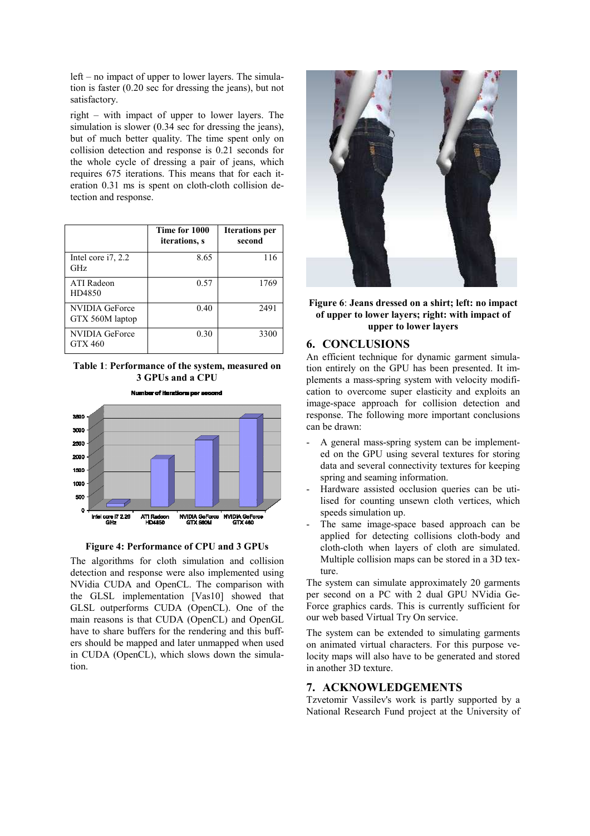left – no impact of upper to lower layers. The simulation is faster (0.20 sec for dressing the jeans), but not satisfactory.

right – with impact of upper to lower layers. The simulation is slower (0.34 sec for dressing the jeans), but of much better quality. The time spent only on collision detection and response is 0.21 seconds for the whole cycle of dressing a pair of jeans, which requires 675 iterations. This means that for each iteration 0.31 ms is spent on cloth-cloth collision detection and response.

|                                         | Time for 1000<br><i>iterations, s</i> | <b>Iterations</b> per<br>second |
|-----------------------------------------|---------------------------------------|---------------------------------|
| Intel core $i$ 7, 2.2<br><b>GHz</b>     | 8.65                                  | 116                             |
| <b>ATI</b> Radeon<br>HD4850             | 0.57                                  | 1769                            |
| NVIDIA GeForce<br>GTX 560M laptop       | 0.40                                  | 2491                            |
| <b>NVIDIA GeForce</b><br><b>GTX 460</b> | 0.30                                  | 3300                            |

**Table 1**: **Performance of the system, measured on 3 GPUs and a CPU**



### **Figure 4: Performance of CPU and 3 GPUs**

The algorithms for cloth simulation and collision detection and response were also implemented using NVidia CUDA and OpenCL. The comparison with the GLSL implementation [Vas10] showed that GLSL outperforms CUDA (OpenCL). One of the main reasons is that CUDA (OpenCL) and OpenGL have to share buffers for the rendering and this buffers should be mapped and later unmapped when used in CUDA (OpenCL), which slows down the simulation.



### **Figure 6**: **Jeans dressed on a shirt; left: no impact of upper to lower layers; right: with impact of upper to lower layers**

# **6. CONCLUSIONS**

An efficient technique for dynamic garment simulation entirely on the GPU has been presented. It implements a mass-spring system with velocity modification to overcome super elasticity and exploits an image-space approach for collision detection and response. The following more important conclusions can be drawn:

- A general mass-spring system can be implemented on the GPU using several textures for storing data and several connectivity textures for keeping spring and seaming information.
- Hardware assisted occlusion queries can be utilised for counting unsewn cloth vertices, which speeds simulation up.
- The same image-space based approach can be applied for detecting collisions cloth-body and cloth-cloth when layers of cloth are simulated. Multiple collision maps can be stored in a 3D texture.

The system can simulate approximately 20 garments per second on a PC with 2 dual GPU NVidia Ge-Force graphics cards. This is currently sufficient for our web based Virtual Try On service.

The system can be extended to simulating garments on animated virtual characters. For this purpose velocity maps will also have to be generated and stored in another 3D texture.

### **7. ACKNOWLEDGEMENTS**

Tzvetomir Vassilev's work is partly supported by a National Research Fund project at the University of